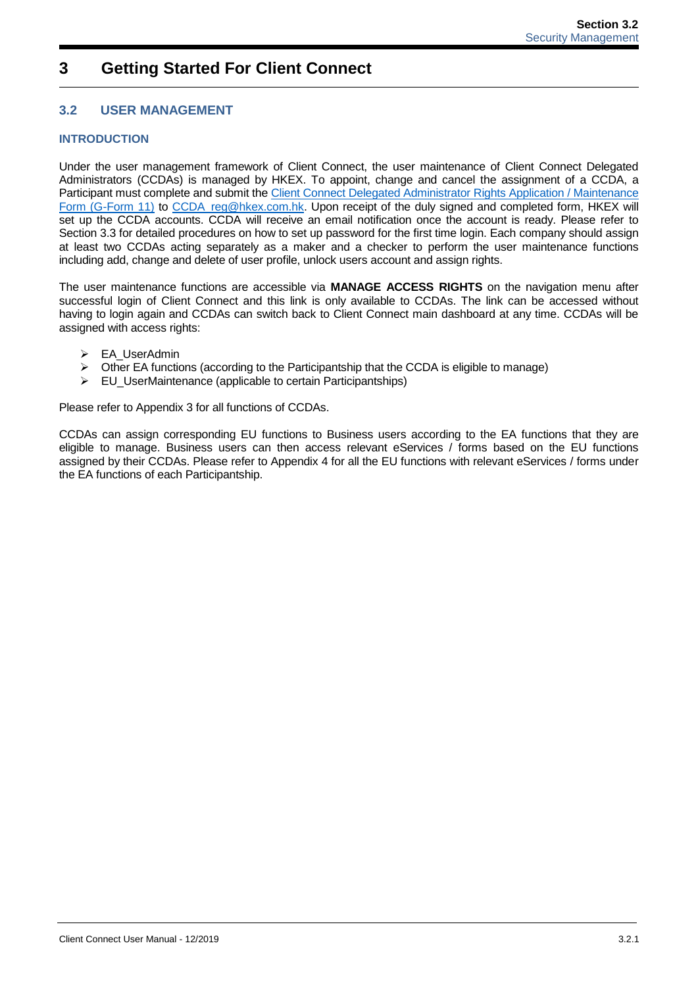# **3 Getting Started For Client Connect**

# **3.2 USER MANAGEMENT**

## **INTRODUCTION**

Under the user management framework of Client Connect, the user maintenance of Client Connect Delegated Administrators (CCDAs) is managed by HKEX. To appoint, change and cancel the assignment of a CCDA, a Participant must complete and submit the [Client Connect Delegated Administrator Rights Application / Maintenance](https://www.hkex.com.hk/-/media/HKEX-Market/Services/Next-Generation-Post-Trade-Programme/Client-Connect-Delegated-Administrator-Rights-Application_Maintenance-Form.pdf?la=en)  [Form \(G-Form 11\)](https://www.hkex.com.hk/-/media/HKEX-Market/Services/Next-Generation-Post-Trade-Programme/Client-Connect-Delegated-Administrator-Rights-Application_Maintenance-Form.pdf?la=en) to CCDA reg@hkex.com.hk. Upon receipt of the duly signed and completed form, HKEX will set up the CCDA accounts. CCDA will receive an email notification once the account is ready. Please refer to Section 3.3 for detailed procedures on how to set up password for the first time login. Each company should assign at least two CCDAs acting separately as a maker and a checker to perform the user maintenance functions including add, change and delete of user profile, unlock users account and assign rights.

The user maintenance functions are accessible via **MANAGE ACCESS RIGHTS** on the navigation menu after successful login of Client Connect and this link is only available to CCDAs. The link can be accessed without having to login again and CCDAs can switch back to Client Connect main dashboard at any time. CCDAs will be assigned with access rights:

- $\triangleright$  EA UserAdmin
- $\triangleright$  Other EA functions (according to the Participantship that the CCDA is eligible to manage)
- $\triangleright$  EU UserMaintenance (applicable to certain Participantships)

Please refer to Appendix 3 for all functions of CCDAs.

CCDAs can assign corresponding EU functions to Business users according to the EA functions that they are eligible to manage. Business users can then access relevant eServices / forms based on the EU functions assigned by their CCDAs. Please refer to Appendix 4 for all the EU functions with relevant eServices / forms under the EA functions of each Participantship.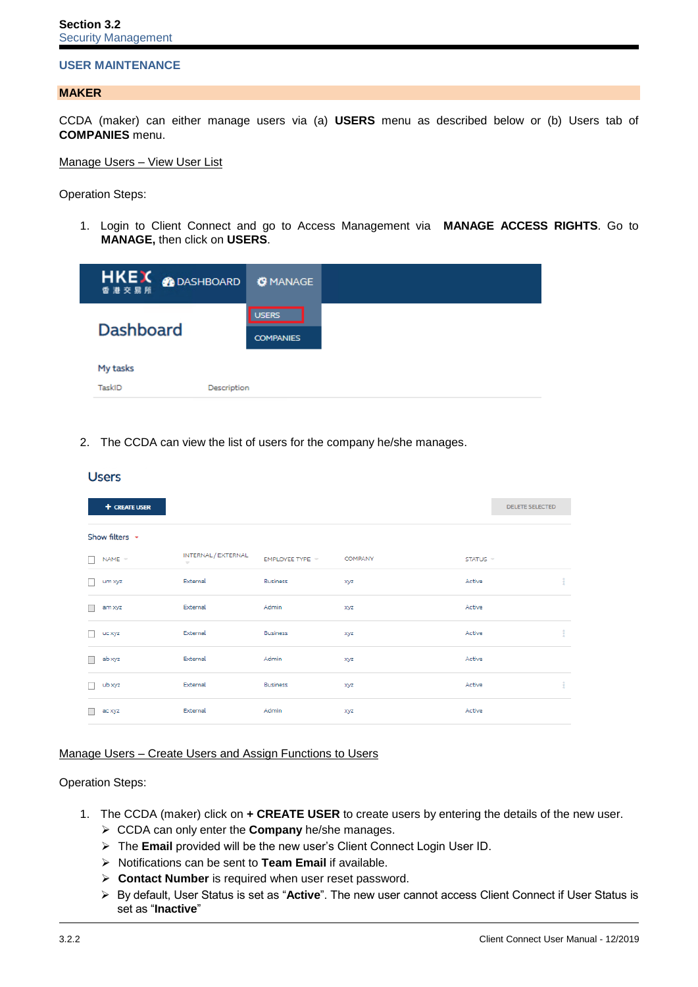## **USER MAINTENANCE**

### **MAKER**

CCDA (maker) can either manage users via (a) **USERS** menu as described below or (b) Users tab of **COMPANIES** menu.

```
Manage Users – View User List
```
Operation Steps:

Users

1. Login to Client Connect and go to Access Management via **MANAGE ACCESS RIGHTS**. Go to **MANAGE,** then click on **USERS**.

| <b>HKEX ODASHBOARD</b>            | <b>OMANAGE</b>                   |
|-----------------------------------|----------------------------------|
| <b>Dashboard</b>                  | <b>USERS</b><br><b>COMPANIES</b> |
| My tasks<br>TaskID<br>Description |                                  |

2. The CCDA can view the list of users for the company he/she manages.

|                          | -----               |                               |                 |                |          |                        |
|--------------------------|---------------------|-------------------------------|-----------------|----------------|----------|------------------------|
|                          | + CREATE USER       |                               |                 |                |          | <b>DELETE SELECTED</b> |
|                          | Show filters $\sim$ |                               |                 |                |          |                        |
|                          | $NAME =$            | INTERNAL / EXTERNAL<br>$\sim$ | EMPLOYEE TYPE = | <b>COMPANY</b> | STATUS = |                        |
|                          | um xyz              | External                      | <b>Business</b> | xyz            | Active   | ÷                      |
|                          | am xyz              | External                      | Admin           | xyz            | Active   |                        |
| $\overline{\phantom{a}}$ | uc xyz              | External                      | <b>Business</b> | xyz            | Active   | ÷                      |
| ۰                        | ab xyz              | External                      | Admin           | xyz            | Active   |                        |
|                          | ub xyz              | External                      | <b>Business</b> | xyz            | Active   | ÷                      |
|                          | ac xyz              | External                      | Admin           | xyz            | Active   |                        |

## Manage Users – Create Users and Assign Functions to Users

### Operation Steps:

- 1. The CCDA (maker) click on **+ CREATE USER** to create users by entering the details of the new user.
	- CCDA can only enter the **Company** he/she manages.
	- The **Email** provided will be the new user's Client Connect Login User ID.
	- Notifications can be sent to **Team Email** if available.
	- **Contact Number** is required when user reset password.
	- By default, User Status is set as "**Active**". The new user cannot access Client Connect if User Status is set as "**Inactive**"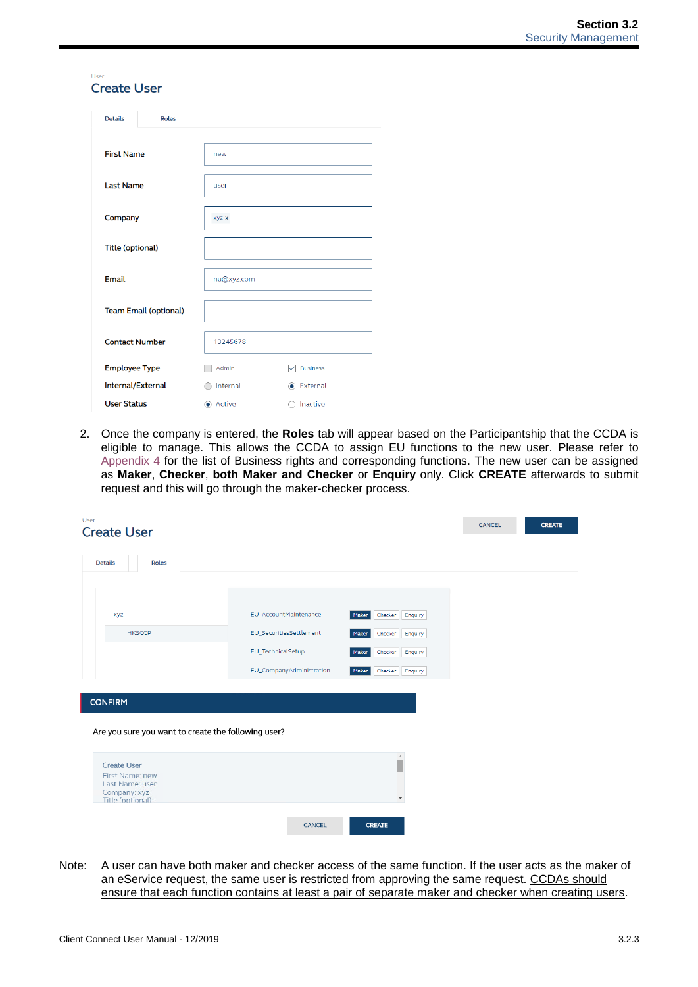### User **Create User**

| <b>Details</b><br><b>Roles</b> |            |                                 |
|--------------------------------|------------|---------------------------------|
|                                |            |                                 |
| <b>First Name</b>              | new        |                                 |
|                                |            |                                 |
| <b>Last Name</b>               | user       |                                 |
|                                |            |                                 |
| Company                        | xyz x      |                                 |
|                                |            |                                 |
| <b>Title (optional)</b>        |            |                                 |
|                                |            |                                 |
| <b>Email</b>                   | nu@xyz.com |                                 |
|                                |            |                                 |
| <b>Team Email (optional)</b>   |            |                                 |
|                                |            |                                 |
| <b>Contact Number</b>          | 13245678   |                                 |
| <b>Employee Type</b>           | Admin      | <b>Business</b><br>$\checkmark$ |
| Internal/External              | Internal   | C External                      |
| <b>User Status</b>             | Active     | Inactive                        |

2. Once the company is entered, the **Roles** tab will appear based on the Participantship that the CCDA is eligible to manage. This allows the CCDA to assign EU functions to the new user. Please refer to [Appendix 4](https://www.hkex.com.hk/-/media/HKEX-Market/Services/Next-Generation-Post-Trade-Programme/Stock-connect-User-manual/Client-Connect_Appendix-4.pdf?la=en) for the list of Business rights and corresponding functions. The new user can be assigned as **Maker**, **Checker**, **both Maker and Checker** or **Enquiry** only. Click **CREATE** afterwards to submit request and this will go through the maker-checker process.

| <b>Details</b><br><b>Roles</b>                                                                                                                                        |                          |                             |  |
|-----------------------------------------------------------------------------------------------------------------------------------------------------------------------|--------------------------|-----------------------------|--|
|                                                                                                                                                                       |                          |                             |  |
| xyz                                                                                                                                                                   | EU_AccountMaintenance    | Maker<br>Enquiry<br>Checker |  |
| <b>HKSCCP</b>                                                                                                                                                         | EU_SecuritiesSettlement  | Maker<br>Checker<br>Enquiry |  |
|                                                                                                                                                                       | EU_TechnicalSetup        | Maker<br>Checker<br>Enquiry |  |
|                                                                                                                                                                       | EU_CompanyAdministration | Maker<br>Checker<br>Enquiry |  |
|                                                                                                                                                                       |                          |                             |  |
|                                                                                                                                                                       |                          |                             |  |
|                                                                                                                                                                       |                          |                             |  |
|                                                                                                                                                                       |                          |                             |  |
|                                                                                                                                                                       |                          |                             |  |
|                                                                                                                                                                       |                          | $\Delta$                    |  |
|                                                                                                                                                                       |                          |                             |  |
|                                                                                                                                                                       |                          |                             |  |
| <b>CONFIRM</b><br>Are you sure you want to create the following user?<br><b>Create User</b><br>First Name: new<br>Last Name: user<br>Company: xyz<br>Title (optional) |                          | $\overline{\phantom{a}}$    |  |

Note: A user can have both maker and checker access of the same function. If the user acts as the maker of an eService request, the same user is restricted from approving the same request. CCDAs should ensure that each function contains at least a pair of separate maker and checker when creating users.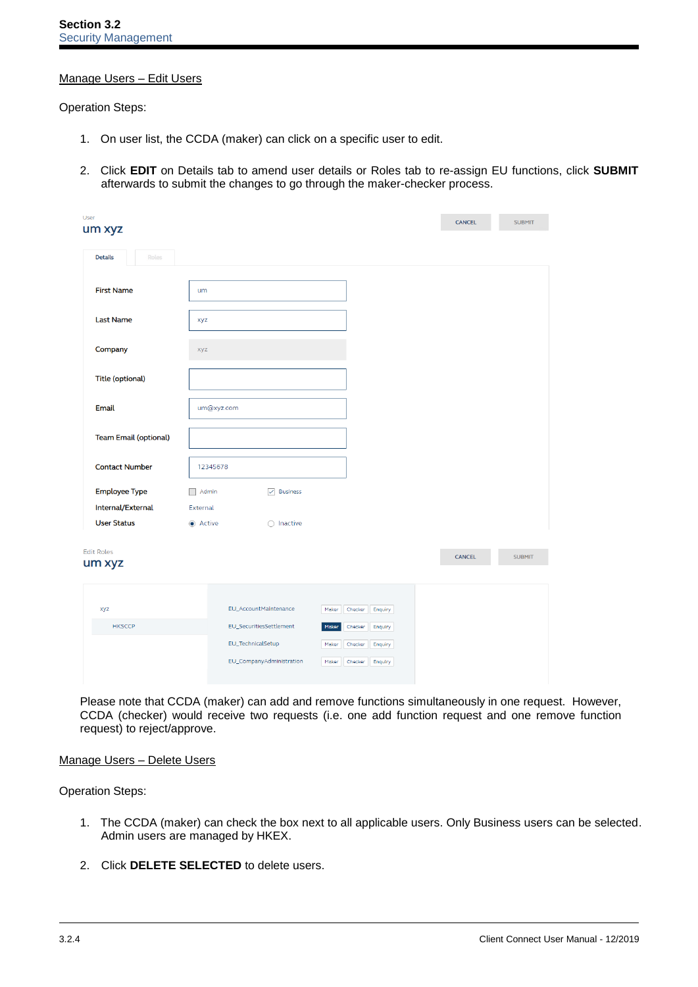## Manage Users – Edit Users

Operation Steps:

- 1. On user list, the CCDA (maker) can click on a specific user to edit.
- 2. Click **EDIT** on Details tab to amend user details or Roles tab to re-assign EU functions, click **SUBMIT** afterwards to submit the changes to go through the maker-checker process.

| User<br>um xyz               |                                   |                    | CANCEL        | <b>SUBMIT</b> |
|------------------------------|-----------------------------------|--------------------|---------------|---------------|
| Roles<br><b>Details</b>      |                                   |                    |               |               |
| <b>First Name</b>            | um                                |                    |               |               |
| <b>Last Name</b>             | xyz                               |                    |               |               |
| Company                      | xyz                               |                    |               |               |
| <b>Title (optional)</b>      |                                   |                    |               |               |
| <b>Email</b><br>um@xyz.com   |                                   |                    |               |               |
| <b>Team Email (optional)</b> |                                   |                    |               |               |
| <b>Contact Number</b>        | 12345678                          |                    |               |               |
| <b>Employee Type</b>         | Admin<br>$\sqrt{}$ Business       |                    |               |               |
| Internal/External            | External                          |                    |               |               |
| <b>User Status</b>           | Active<br>$\bigcirc$ Inactive     |                    |               |               |
|                              |                                   |                    |               |               |
| <b>Edit Roles</b><br>um xyz  |                                   |                    | <b>CANCEL</b> | <b>SUBMIT</b> |
| xyz                          | EU_AccountMaintenance<br>Maker    | Checker<br>Enquiry |               |               |
| <b>HKSCCP</b>                | EU_SecuritiesSettlement<br>Maker  | Checker<br>Enquiry |               |               |
|                              | EU_TechnicalSetup<br>Maker        | Checker<br>Enquiry |               |               |
|                              | EU_CompanyAdministration<br>Maker | Checker            |               |               |
|                              |                                   | Enquiry            |               |               |

Please note that CCDA (maker) can add and remove functions simultaneously in one request. However, CCDA (checker) would receive two requests (i.e. one add function request and one remove function request) to reject/approve.

## Manage Users – Delete Users

Operation Steps:

- 1. The CCDA (maker) can check the box next to all applicable users. Only Business users can be selected. Admin users are managed by HKEX.
- 2. Click **DELETE SELECTED** to delete users.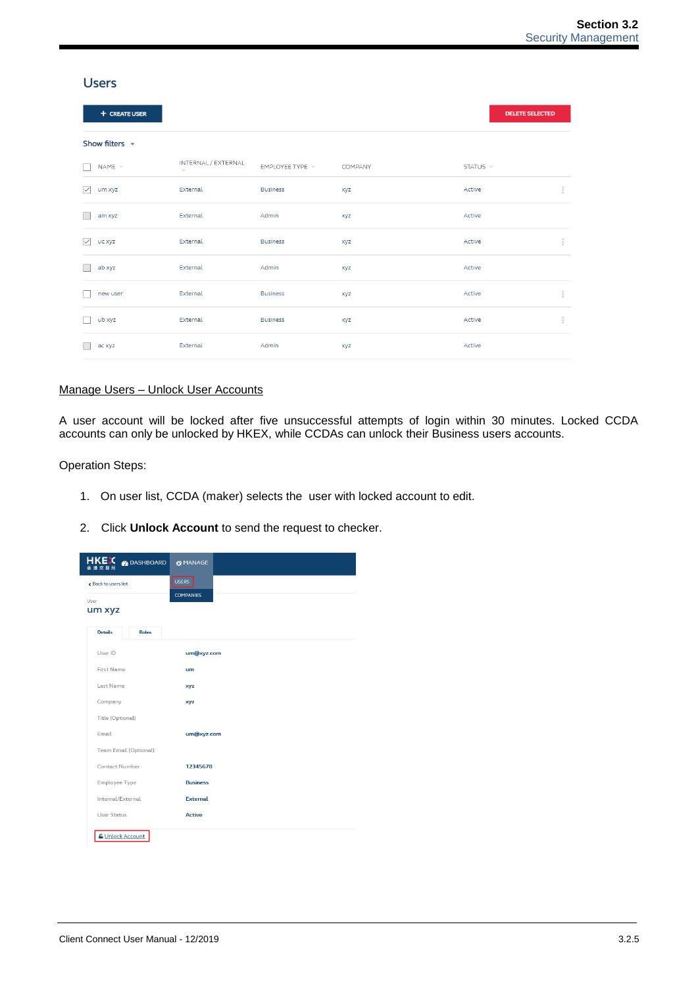| <b>Users</b>        |                                                 |                 |                |          |                        |
|---------------------|-------------------------------------------------|-----------------|----------------|----------|------------------------|
| + CREATE USER       |                                                 |                 |                |          | <b>DELETE SELECTED</b> |
| Show filters $\sim$ |                                                 |                 |                |          |                        |
| $NAME =$            | INTERNAL / EXTERNAL<br>$\overline{\phantom{m}}$ | EMPLOYEE TYPE * | <b>COMPANY</b> | STATUS = |                        |
| ▽<br>um xyz         | External                                        | <b>Business</b> | xyz            | Active   | ÷                      |
| am xyz              | External                                        | Admin           | xyz            | Active   |                        |
| ✓<br>uc xyz         | External                                        | <b>Business</b> | xyz            | Active   | ÷                      |
| ab xyz              | External                                        | Admin           | xyz            | Active   |                        |
| new user            | External                                        | <b>Business</b> | xyz            | Active   | ÷                      |
| ub xyz              | External                                        | <b>Business</b> | xyz            | Active   | ÷                      |
| ac xyz              | External                                        | Admin           | xyz            | Active   |                        |

## Manage Users – Unlock User Accounts

A user account will be locked after five unsuccessful attempts of login within 30 minutes. Locked CCDA accounts can only be unlocked by HKEX, while CCDAs can unlock their Business users accounts.

## Operation Steps:

- 1. On user list, CCDA (maker) selects the user with locked account to edit.
- 2. Click **Unlock Account** to send the request to checker.

| HKE <sup>C</sup> B DASHBOARD<br>香港交易所 | <b>O MANAGE</b>  |
|---------------------------------------|------------------|
| Back to users list                    | <b>USERS</b>     |
| User<br>um xyz                        | <b>COMPANIES</b> |
| <b>Details</b><br><b>Roles</b>        |                  |
| User ID                               | um@xyz.com       |
| First Name                            | um               |
| Last Name                             | xyz              |
| Company                               | xyz              |
| Title (Optional)                      |                  |
| Email                                 | um@xyz.com       |
| Team Email (Optional)                 |                  |
| Contact Number                        | 12345678         |
| Employee Type                         | <b>Business</b>  |
| Internal/External                     | <b>External</b>  |
| User Status                           | <b>Active</b>    |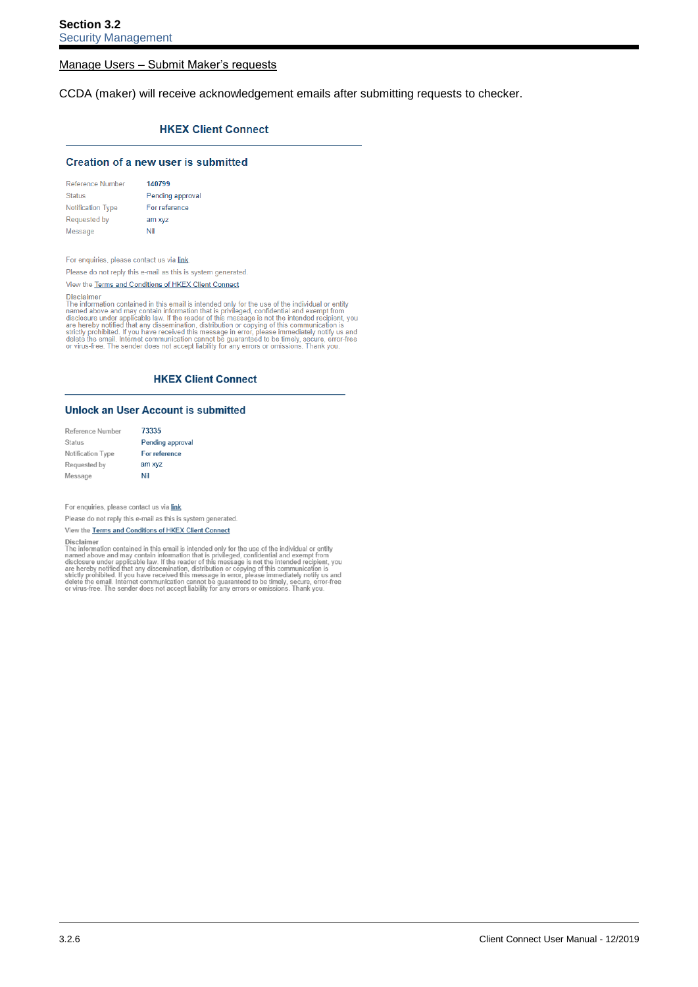### Manage Users – Submit Maker's requests

CCDA (maker) will receive acknowledgement emails after submitting requests to checker.

### **HKEX Client Connect**

### **Creation of a new user is submitted**

| <b>Reference Number</b>  | 140799           |
|--------------------------|------------------|
| <b>Status</b>            | Pending approval |
| <b>Notification Type</b> | For reference    |
| Requested by             | am xyz           |
| Message                  | Nil              |

For enquiries, please contact us via link.

Please do not reply this e-mail as this is system generated.

View the Terms and Conditions of HKEX Client Connect

The information contained in this email is intended only for the use of the individual or entity<br>The information contained in this email is intended only for the use of the individual or entity<br>The information contained in

### **HKEX Client Connect**

### **Unlock an User Account is submitted**

| Reference Number  | 73335            |
|-------------------|------------------|
| <b>Status</b>     | Pending approval |
| Notification Type | For reference    |
| Requested by      | am xyz           |
| Message           | Nil              |

For enquiries, please contact us via link

Please do not reply this e-mail as this is system generated.

View the Terms and Conditions of HKEX Client Connect

The information contained in this email is intended only for the use of the individual or entity<br>The information contained in this email is intended only for the use of the individual or entity<br>The information contained in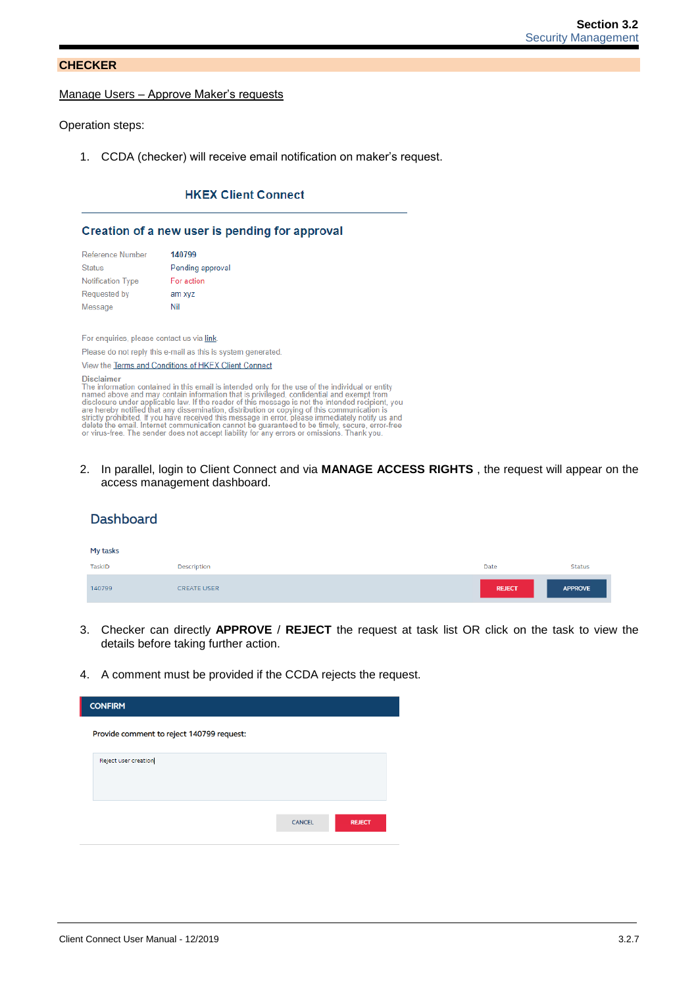## **CHECKER**

### Manage Users – Approve Maker's requests

Operation steps:

1. CCDA (checker) will receive email notification on maker's request.

## **HKEX Client Connect**

### Creation of a new user is pending for approval

| <b>Reference Number</b>  | 140799           |
|--------------------------|------------------|
| <b>Status</b>            | Pending approval |
| <b>Notification Type</b> | For action       |
| <b>Requested by</b>      | am xyz           |
| Message                  | Nil              |

For enquiries, please contact us via link

Please do not reply this e-mail as this is system generated.

### View the Terms and Conditions of HKEX Client Connect

Disclaimer

Disclaimer<br>The information contained in this email is intended only for the use of the individual or entity<br>The information contained in this email is intended only for the use of the individual or entity<br>named above and m

2. In parallel, login to Client Connect and via **MANAGE ACCESS RIGHTS** , the request will appear on the access management dashboard.

### **Dashboard** My tasks TaskID Description Date Status 140799 **CREATE USER REJECT APPROVE**

- 3. Checker can directly **APPROVE** / **REJECT** the request at task list OR click on the task to view the details before taking further action.
- 4. A comment must be provided if the CCDA rejects the request.

| <b>CONFIRM</b>                            |               |               |  |  |
|-------------------------------------------|---------------|---------------|--|--|
| Provide comment to reject 140799 request: |               |               |  |  |
| Reject user creation                      |               |               |  |  |
|                                           | <b>CANCEL</b> | <b>REJECT</b> |  |  |
|                                           |               |               |  |  |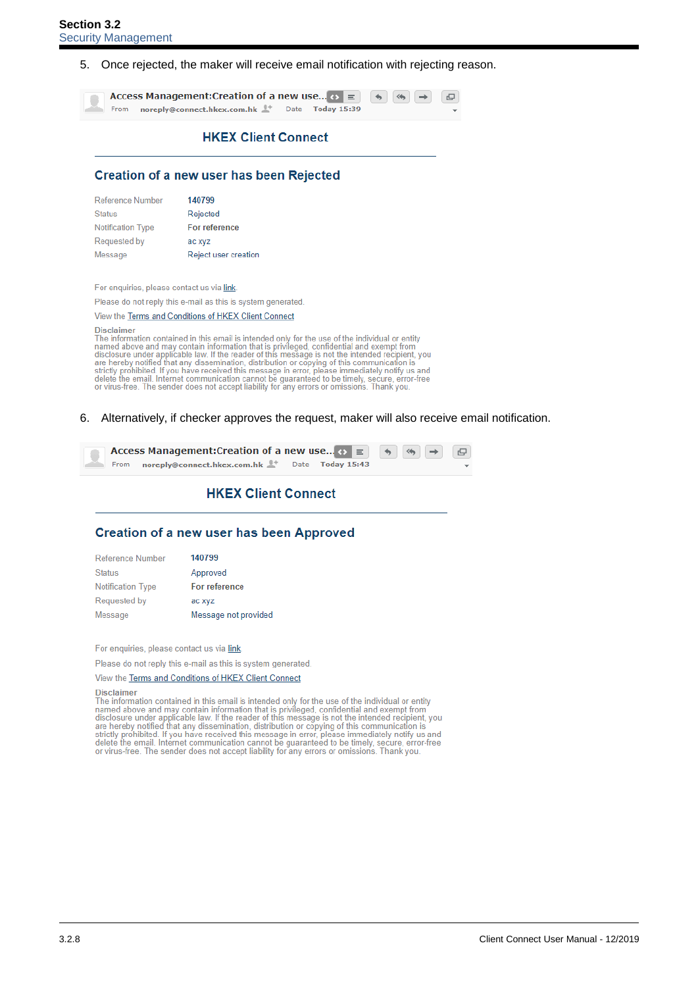5. Once rejected, the maker will receive email notification with rejecting reason.

Access Management: Creation of a new use...  $\leftrightarrow \equiv$  $\rightarrow$  $\begin{array}{c} \square \end{array}$ noreply@connect.hkex.com.hk Date From **Today 15:39** 

# **HKEX Client Connect**

## **Creation of a new user has been Rejected**

| Reference Number         | 140799               |
|--------------------------|----------------------|
| <b>Status</b>            | Rejected             |
| <b>Notification Type</b> | For reference        |
| Requested by             | ac xyz               |
| Message                  | Reject user creation |

For enquiries, please contact us via link.

Please do not reply this e-mail as this is system generated.

### View the Terms and Conditions of HKEX Client Connect

**Disclaimer** 

Disclaimer<br>The information contained in this email is intended only for the use of the individual or entity<br>The information contained information that is privileged, confidential and exempt from<br>disclosure under applicable

6. Alternatively, if checker approves the request, maker will also receive email notification.



# **HKEX Client Connect**

# **Creation of a new user has been Approved**

| 140799               |
|----------------------|
| Approved             |
| For reference        |
| ac xyz               |
| Message not provided |
|                      |

For enquiries, please contact us via link

Please do not reply this e-mail as this is system generated.

### View the Terms and Conditions of HKEX Client Connect

### Disclaimer

Disclaimer<br>The information contained in this email is intended only for the use of the individual or entity<br>The information contained above and may contain information that is privileged, confidential and exempt from<br>discl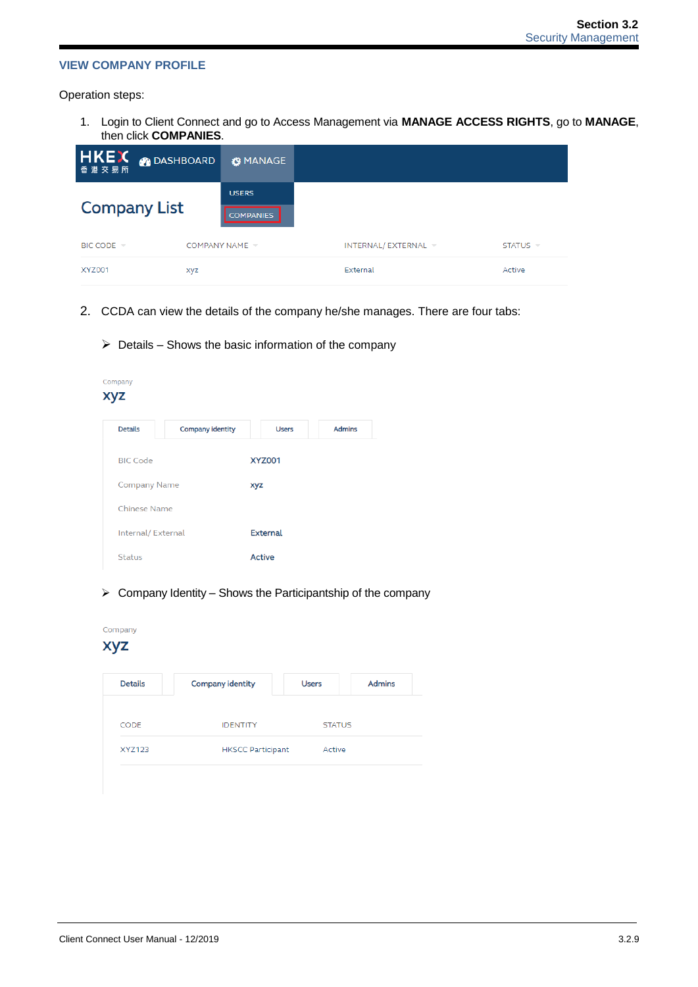## **VIEW COMPANY PROFILE**

Operation steps:

1. Login to Client Connect and go to Access Management via **MANAGE ACCESS RIGHTS**, go to **MANAGE**, then click **COMPANIES**.

| <b>HKEX O DASHBOARD</b><br>香港交易所 | <b>G</b> MANAGE                   |                   |                                 |
|----------------------------------|-----------------------------------|-------------------|---------------------------------|
|                                  | <b>USERS</b>                      |                   |                                 |
| <b>Company List</b>              | <b>COMPANIES</b>                  |                   |                                 |
| BIC CODE =                       | COMPANY NAME $\blacktriangledown$ | INTERNAL/EXTERNAL | STATUS $\overline{\phantom{a}}$ |
| <b>XYZ001</b>                    | xyz                               | External          | Active                          |

- 2. CCDA can view the details of the company he/she manages. There are four tabs:
	- $\triangleright$  Details Shows the basic information of the company

| Company<br>xyz      |                         |                 |               |
|---------------------|-------------------------|-----------------|---------------|
| <b>Details</b>      | <b>Company identity</b> | <b>Users</b>    | <b>Admins</b> |
| <b>BIC Code</b>     |                         | <b>XYZ001</b>   |               |
| <b>Company Name</b> |                         | xyz             |               |
| <b>Chinese Name</b> |                         |                 |               |
| Internal/External   |                         | <b>External</b> |               |
| <b>Status</b>       |                         | <b>Active</b>   |               |

 $\triangleright$  Company Identity – Shows the Participantship of the company

| Company<br><b>XYZ</b> |                          |               |               |
|-----------------------|--------------------------|---------------|---------------|
| <b>Details</b>        | <b>Company identity</b>  | <b>Users</b>  | <b>Admins</b> |
| <b>CODE</b>           | <b>IDENTITY</b>          | <b>STATUS</b> |               |
|                       | <b>HKSCC Participant</b> | Active        |               |